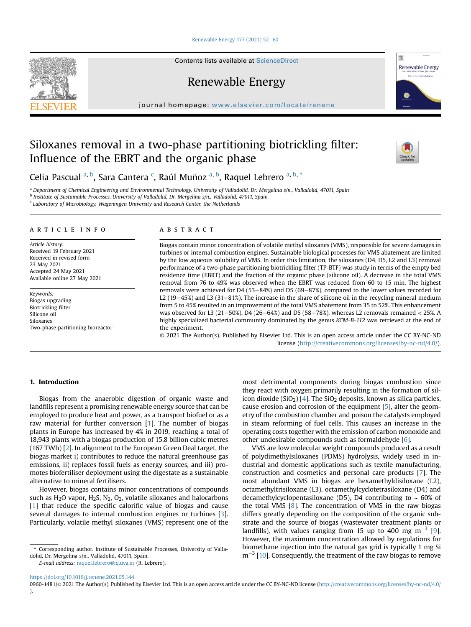#### [Renewable Energy 177 \(2021\) 52](https://doi.org/10.1016/j.renene.2021.05.144)-[60](https://doi.org/10.1016/j.renene.2021.05.144)

Contents lists available at ScienceDirect

Renewable Energy

journal homepage: [www.elsevier.com/locate/renene](http://www.elsevier.com/locate/renene)

# Siloxanes removal in a two-phase partitioning biotrickling filter: Influence of the EBRT and the organic phase



牌

Renewable Energy

Celia Pascual <sup>[a,](#page-0-0) [b](#page-0-1)</sup>, Sara Cantera <sup>[c](#page-0-2)</sup>, R[a](#page-0-0)úl Muñoz <sup>a, b</sup>, Raquel Lebrero <sup>a, [b,](#page-0-1) [\\*](#page-0-3)</sup>

<span id="page-0-0"></span><sup>a</sup> Department of Chemical Engineering and Environmental Technology, University of Valladolid, Dr. Mergelina s/n., Valladolid, 47011, Spain

<span id="page-0-1"></span><sup>b</sup> Institute of Sustainable Processes, University of Valladolid, Dr. Mergelina s/n., Valladolid, 47011, Spain

<span id="page-0-2"></span> $c$  Laboratory of Microbiology, Wageningen University and Research Center, the Netherlands

## article info

Article history: Received 19 February 2021 Received in revised form 23 May 2021 Accepted 24 May 2021 Available online 27 May 2021

Keywords: Biogas upgrading Biotrickling filter Silicone oil Siloxanes Two-phase partitioning bioreactor

## **ABSTRACT**

Biogas contain minor concentration of volatile methyl siloxanes (VMS), responsible for severe damages in turbines or internal combustion engines. Sustainable biological processes for VMS abatement are limited by the low aqueous solubility of VMS. In order this limitation, the siloxanes (D4, D5, L2 and L3) removal performance of a two-phase partitioning biotrickling filter (TP-BTF) was study in terms of the empty bed residence time (EBRT) and the fraction of the organic phase (silicone oil). A decrease in the total VMS removal from 76 to 49% was observed when the EBRT was reduced from 60 to 15 min. The highest removals were achieved for D4 (53-84%) and D5 (69-87%), compared to the lower values recorded for L2 (19 $-45%$ ) and L3 (31 $-81%$ ). The increase in the share of silicone oil in the recycling mineral medium from 5 to 45% resulted in an improvement of the total VMS abatement from 35 to 52%. This enhancement was observed for L3 (21-50%), D4 (26-64%) and D5 (58-78%), whereas L2 removals remained  $<$  25%. A highly specialized bacterial community dominated by the genus KCM-B-112 was retrieved at the end of the experiment.

© 2021 The Author(s). Published by Elsevier Ltd. This is an open access article under the CC BY-NC-ND license [\(http://creativecommons.org/licenses/by-nc-nd/4.0/](http://creativecommons.org/licenses/by-nc-nd/4.0/)).

# 1. Introduction

Biogas from the anaerobic digestion of organic waste and landfills represent a promising renewable energy source that can be employed to produce heat and power, as a transport biofuel or as a raw material for further conversion [[1](#page-7-0)]. The number of biogas plants in Europe has increased by 4% in 2019, reaching a total of 18,943 plants with a biogas production of 15.8 billion cubic metres (167 TWh) [[2\]](#page-7-1). In alignment to the European Green Deal target, the biogas market i) contributes to reduce the natural greenhouse gas emissions, ii) replaces fossil fuels as energy sources, and iii) promotes biofertiliser deployment using the digestate as a sustainable alternative to mineral fertilisers.

However, biogas contains minor concentrations of compounds such as  $H_2O$  vapor,  $H_2S$ ,  $N_2$ ,  $O_2$ , volatile siloxanes and halocarbons [[1](#page-7-0)] that reduce the specific calorific value of biogas and cause several damages to internal combustion engines or turbines [\[3\]](#page-7-2). Particularly, volatile methyl siloxanes (VMS) represent one of the

E-mail address: [raquel.lebrero@iq.uva.es](mailto:raquel.lebrero@iq.uva.es) (R. Lebrero).

most detrimental components during biogas combustion since they react with oxygen primarily resulting in the formation of sil-icon dioxide (SiO<sub>2</sub>) [\[4\]](#page-7-3). The SiO<sub>2</sub> deposits, known as silica particles, cause erosion and corrosion of the equipment [[5](#page-7-4)], alter the geometry of the combustion chamber and poison the catalysts employed in steam reforming of fuel cells. This causes an increase in the operating costs together with the emission of carbon monoxide and other undesirable compounds such as formaldehyde [[6\]](#page-7-5).

VMS are low molecular weight compounds produced as a result of polydimethylsiloxanes (PDMS) hydrolysis, widely used in industrial and domestic applications such as textile manufacturing, construction and cosmetics and personal care products [\[7](#page-7-6)]. The most abundant VMS in biogas are hexamethyldisiloxane (L2), octamethyltrisiloxane (L3), octamethylcyclotetrasiloxane (D4) and decamethylcyclopentasiloxane (D5), D4 contributing to  $\sim 60\%$  of the total VMS [[8\]](#page-7-7). The concentration of VMS in the raw biogas differs greatly depending on the composition of the organic substrate and the source of biogas (wastewater treatment plants or landfills), with values ranging from 15 up to 400 mg  $m^{-3}$  [\[9\]](#page-7-8). However, the maximum concentration allowed by regulations for biomethane injection into the natural gas grid is typically 1 mg Si  $m^{-3}$  [[10\]](#page-7-9). Consequently, the treatment of the raw biogas to remove

<span id="page-0-3"></span><sup>\*</sup> Corresponding author. Institute of Sustainable Processes, University of Valladolid, Dr. Mergelina s/n., Valladolid, 47011, Spain.

<https://doi.org/10.1016/j.renene.2021.05.144>

<sup>0960-1481/© 2021</sup> The Author(s). Published by Elsevier Ltd. This is an open access article under the CC BY-NC-ND license (<http://creativecommons.org/licenses/by-nc-nd/4.0/> ).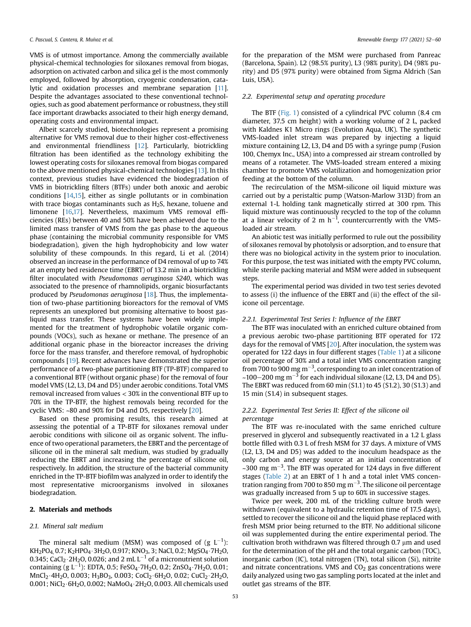VMS is of utmost importance. Among the commercially available physical-chemical technologies for siloxanes removal from biogas, adsorption on activated carbon and silica gel is the most commonly employed, followed by absorption, cryogenic condensation, catalytic and oxidation processes and membrane separation [\[11\]](#page-7-10). Despite the advantages associated to these conventional technologies, such as good abatement performance or robustness, they still face important drawbacks associated to their high energy demand, operating costs and environmental impact.

Albeit scarcely studied, biotechnologies represent a promising alternative for VMS removal due to their higher cost-effectiveness and environmental friendliness [[12](#page-7-11)]. Particularly, biotrickling filtration has been identified as the technology exhibiting the lowest operating costs for siloxanes removal from biogas compared to the above mentioned physical-chemical technologies [[13\]](#page-7-12). In this context, previous studies have evidenced the biodegradation of VMS in biotrickling filters (BTFs) under both anoxic and aerobic conditions [\[14,](#page-7-13)[15](#page-7-14)], either as single pollutants or in combination with trace biogas contaminants such as H2S, hexane, toluene and limonene [\[16](#page-7-15)[,17](#page-8-0)]. Nevertheless, maximum VMS removal efficiencies (REs) between 40 and 50% have been achieved due to the limited mass transfer of VMS from the gas phase to the aqueous phase (containing the microbial community responsible for VMS biodegradation), given the high hydrophobicity and low water solubility of these compounds. In this regard, Li et al. (2014) observed an increase in the performance of D4 removal of up to 74% at an empty bed residence time (EBRT) of 13.2 min in a biotrickling filter inoculated with Pseudomonas aeruginosa S240, which was associated to the presence of rhamnolipids, organic biosurfactants produced by Pseudomonas aeruginosa [\[18](#page-8-1)]. Thus, the implementation of two-phase partitioning bioreactors for the removal of VMS represents an unexplored but promising alternative to boost gasliquid mass transfer. These systems have been widely implemented for the treatment of hydrophobic volatile organic compounds (VOCs), such as hexane or methane. The presence of an additional organic phase in the bioreactor increases the driving force for the mass transfer, and therefore removal, of hydrophobic compounds [[19\]](#page-8-2). Recent advances have demonstrated the superior performance of a two-phase partitioning BTF (TP-BTF) compared to a conventional BTF (without organic phase) for the removal of four model VMS (L2, L3, D4 and D5) under aerobic conditions. Total VMS removal increased from values < 30% in the conventional BTF up to 70% in the TP-BTF, the highest removals being recorded for the cyclic VMS: ~80 and 90% for D4 and D5, respectively [\[20\]](#page-8-3).

Based on these promising results, this research aimed at assessing the potential of a TP-BTF for siloxanes removal under aerobic conditions with silicone oil as organic solvent. The influence of two operational parameters, the EBRT and the percentage of silicone oil in the mineral salt medium, was studied by gradually reducing the EBRT and increasing the percentage of silicone oil, respectively. In addition, the structure of the bacterial community enriched in the TP-BTF biofilm was analyzed in order to identify the most representative microorganisms involved in siloxanes biodegradation.

## 2. Materials and methods

#### 2.1. Mineral salt medium

The mineral salt medium (MSM) was composed of (g  $\mathsf{L}^{-1}$ ):  $KH_2PO_4$ , 0.7;  $K_2HPO_4 \cdot 3H_2O$ , 0.917; KNO<sub>3</sub>, 3; NaCl, 0.2; MgSO<sub>4</sub> $\cdot$ 7H<sub>2</sub>O, 0.345; CaCl<sub>2</sub> 2H<sub>2</sub>O, 0.026; and 2 mL L<sup>-1</sup> of a micronutrient solution containing (g L $^{-1}$ ): EDTA, 0.5; FeSO4·7H2O, 0.2; ZnSO4·7H2O, 0.01;  $MnCl_2 \cdot 4H_2O$ , 0.003;  $H_3BO_3$ , 0.003; CoCl<sub>2</sub> $\cdot 6H_2O$ , 0.02; CuCl<sub>2</sub> $\cdot 2H_2O$ , 0.001; NiCl<sub>2</sub>  $\cdot$  6H<sub>2</sub>O, 0.002; NaMoO<sub>4</sub>  $\cdot$  2H<sub>2</sub>O, 0.003. All chemicals used

for the preparation of the MSM were purchased from Panreac (Barcelona, Spain). L2 (98.5% purity), L3 (98% purity), D4 (98% purity) and D5 (97% purity) were obtained from Sigma Aldrich (San Luis, USA).

# 2.2. Experimental setup and operating procedure

The BTF [\(Fig. 1](#page-2-0)) consisted of a cylindrical PVC column (8.4 cm diameter, 37.5 cm height) with a working volume of 2 L, packed with Kaldnes K1 Micro rings (Evolution Aqua, UK). The synthetic VMS-loaded inlet stream was prepared by injecting a liquid mixture containing L2, L3, D4 and D5 with a syringe pump (Fusion 100, Chemyx Inc., USA) into a compressed air stream controlled by means of a rotameter. The VMS-loaded stream entered a mixing chamber to promote VMS volatilization and homogenization prior feeding at the bottom of the column.

The recirculation of the MSM-silicone oil liquid mixture was carried out by a peristaltic pump (Watson-Marlow 313D) from an external 1-L holding tank magnetically stirred at 300 rpm. This liquid mixture was continuously recycled to the top of the column at a linear velocity of 2 m  $h^{-1}$ , countercurrently with the VMSloaded air stream.

An abiotic test was initially performed to rule out the possibility of siloxanes removal by photolysis or adsorption, and to ensure that there was no biological activity in the system prior to inoculation. For this purpose, the test was initiated with the empty PVC column, while sterile packing material and MSM were added in subsequent steps.

The experimental period was divided in two test series devoted to assess (i) the influence of the EBRT and (ii) the effect of the silicone oil percentage.

## 2.2.1. Experimental Test Series I: Influence of the EBRT

The BTF was inoculated with an enriched culture obtained from a previous aerobic two-phase partitioning BTF operated for 172 days for the removal of VMS [[20](#page-8-3)]. After inoculation, the system was operated for 122 days in four different stages [\(Table 1\)](#page-2-1) at a silicone oil percentage of 30% and a total inlet VMS concentration ranging from 700 to 900 mg m $^{-3}$ , corresponding to an inlet concentration of  $\sim$ 100–200 mg m<sup>-3</sup> for each individual siloxane (L2, L3, D4 and D5). The EBRT was reduced from 60 min (S1.1) to 45 (S1.2), 30 (S1.3) and 15 min (S1.4) in subsequent stages.

# 2.2.2. Experimental Test Series II: Effect of the silicone oil percentage

The BTF was re-inoculated with the same enriched culture preserved in glycerol and subsequently reactivated in a 1.2 L glass bottle filled with 0.3 L of fresh MSM for 37 days. A mixture of VMS (L2, L3, D4 and D5) was added to the inoculum headspace as the only carbon and energy source at an initial concentration of ~300 mg m<sup>-3</sup>. The BTF was operated for 124 days in five different stages [\(Table 2\)](#page-2-2) at an EBRT of 1 h and a total inlet VMS concentration ranging from 700 to 850 mg  $m^{-3}$ . The silicone oil percentage was gradually increased from 5 up to 60% in successive stages.

Twice per week, 200 mL of the trickling culture broth were withdrawn (equivalent to a hydraulic retention time of 17.5 days), settled to recover the silicone oil and the liquid phase replaced with fresh MSM prior being returned to the BTF. No additional silicone oil was supplemented during the entire experimental period. The cultivation broth withdrawn was filtered through 0.7 µm and used for the determination of the pH and the total organic carbon (TOC), inorganic carbon (IC), total nitrogen (TN), total silicon (Si), nitrite and nitrate concentrations. VMS and  $CO<sub>2</sub>$  gas concentrations were daily analyzed using two gas sampling ports located at the inlet and outlet gas streams of the BTF.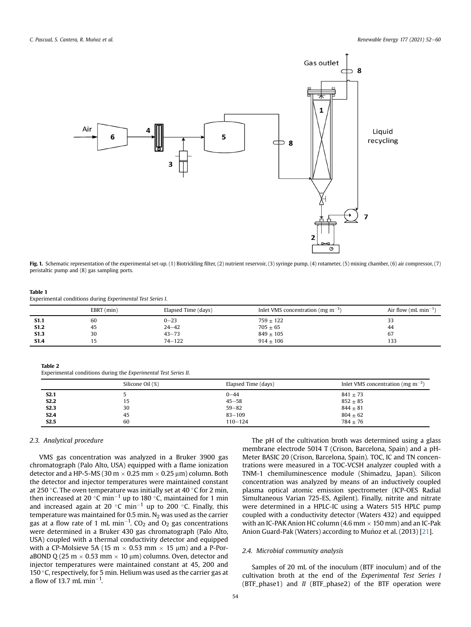<span id="page-2-0"></span>

Fig. 1. Schematic representation of the experimental set-up. (1) Biotrickling filter, (2) nutrient reservoir, (3) syringe pump, (4) rotameter, (5) mixing chamber, (6) air compressor, (7) peristaltic pump and (8) gas sampling ports.

## <span id="page-2-1"></span>Table 1 Experimental conditions during Experimental Test Series I.

|                  | EBRT (min) | Elapsed Time (days) | Inlet VMS concentration (mg $m^{-3}$ ) | Air flow (mL min <sup>-1</sup> ) |
|------------------|------------|---------------------|----------------------------------------|----------------------------------|
| <b>S1.1</b>      | 60         | $0 - 23$            | $759 \pm 122$                          | 33                               |
| <b>S1.2</b>      | 45         | $24 - 42$           | $705 \pm 65$                           | 44                               |
| S <sub>1.3</sub> | 30         | $43 - 73$           | $849 \pm 105$                          | 67                               |
| <b>S1.4</b>      |            | $74 - 122$          | $914 \pm 106$                          | 133                              |
|                  |            |                     |                                        |                                  |

#### <span id="page-2-2"></span>Table 2

Experimental conditions during the Experimental Test Series II.

|                  | Silicone Oil (%) | Elapsed Time (days) | Inlet VMS concentration (mg $m^{-3}$ ) |
|------------------|------------------|---------------------|----------------------------------------|
| <b>S2.1</b>      |                  | $0 - 44$            | $841 \pm 73$                           |
| S <sub>2.2</sub> | 15               | $45 - 58$           | $852 \pm 85$                           |
| <b>S2.3</b>      | 30               | $59 - 82$           | $844 \pm 81$                           |
| <b>S2.4</b>      | 45               | $83 - 109$          | $804 \pm 62$                           |
| S2.5             | 60               | $110 - 124$         | $784 \pm 76$                           |

# 2.3. Analytical procedure

VMS gas concentration was analyzed in a Bruker 3900 gas chromatograph (Palo Alto, USA) equipped with a flame ionization detector and a HP-5-MS (30 m  $\times$  0.25 mm  $\times$  0.25 µm) column. Both the detector and injector temperatures were maintained constant at 250 °C. The oven temperature was initially set at 40 °C for 2 min, then increased at 20 °C min<sup>-1</sup> up to 180 °C, maintained for 1 min and increased again at 20 °C min<sup>-1</sup> up to 200 °C. Finally, this temperature was maintained for 0.5 min.  $N_2$  was used as the carrier gas at a flow rate of 1 mL min $^{-1}$ . CO<sub>2</sub> and O<sub>2</sub> gas concentrations were determined in a Bruker 430 gas chromatograph (Palo Alto, USA) coupled with a thermal conductivity detector and equipped with a CP-Molsieve 5A (15 m  $\times$  0.53 mm  $\times$  15 µm) and a P-PoraBOND Q (25 m  $\times$  0.53 mm  $\times$  10 µm) columns. Oven, detector and injector temperatures were maintained constant at 45, 200 and 150 $\degree$ C, respectively, for 5 min. Helium was used as the carrier gas at a flow of 13.7 mL min $^{-1}$ .

The pH of the cultivation broth was determined using a glass membrane electrode 5014 T (Crison, Barcelona, Spain) and a pH-Meter BASIC 20 (Crison, Barcelona, Spain). TOC, IC and TN concentrations were measured in a TOC-VCSH analyzer coupled with a TNM-1 chemiluminescence module (Shimadzu, Japan). Silicon concentration was analyzed by means of an inductively coupled plasma optical atomic emission spectrometer (ICP-OES Radial Simultaneous Varian 725-ES, Agilent). Finally, nitrite and nitrate were determined in a HPLC-IC using a Waters 515 HPLC pump coupled with a conductivity detector (Waters 432) and equipped with an IC-PAK Anion HC column (4.6 mm  $\times$  150 mm) and an IC-Pak Anion Guard-Pak (Waters) according to Muñoz et al. (2013) [[21](#page-8-4)].

## 2.4. Microbial community analysis

Samples of 20 mL of the inoculum (BTF inoculum) and of the cultivation broth at the end of the Experimental Test Series I (BTF\_phase1) and II (BTF\_phase2) of the BTF operation were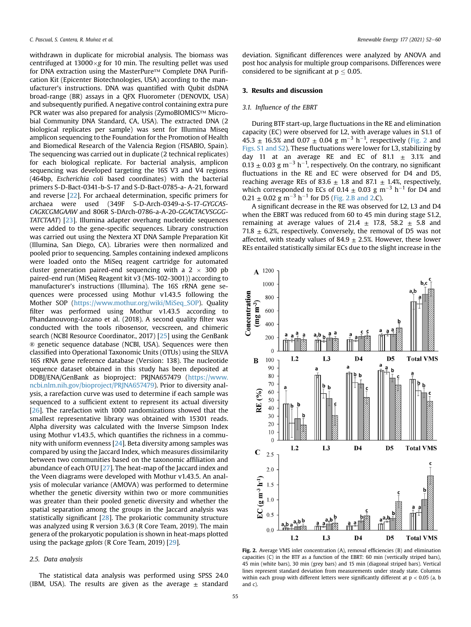withdrawn in duplicate for microbial analysis. The biomass was centrifuged at 13000 $\times$ g for 10 min. The resulting pellet was used for DNA extraction using the MasterPure™ Complete DNA Purification Kit (Epicenter Biotechnologies, USA) according to the manufacturer's instructions. DNA was quantified with Qubit dsDNA broad-range (BR) assays in a QFX Fluorometer (DENOVIX, USA) and subsequently purified. A negative control containing extra pure PCR water was also prepared for analysis (ZymoBIOMICS™ Microbial Community DNA Standard, CA, USA). The extracted DNA (2 biological replicates per sample) was sent for Illumina Miseq amplicon sequencing to the Foundation for the Promotion of Health and Biomedical Research of the Valencia Region (FISABIO, Spain). The sequencing was carried out in duplicate (2 technical replicates) for each biological replicate. For bacterial analysis, amplicon sequencing was developed targeting the 16S V3 and V4 regions (464bp, Escherichia coli based coordinates) with the bacterial primers S-D-Bact-0341-b-S-17 and S-D-Bact-0785-a- A-21, forward and reverse [\[22\]](#page-8-5). For archaeal determination, specific primers for archaea were used (349F S-D-Arch-0349-a-S-17-GYGCAS-CAGKCGMGAAW and 806R S-DArch-0786-a-A-20-GGACTACVSGGG-TATCTAAT) [\[23\]](#page-8-6). Illumina adapter overhang nucleotide sequences were added to the gene-specific sequences. Library construction was carried out using the Nextera XT DNA Sample Preparation Kit (Illumina, San Diego, CA). Libraries were then normalized and pooled prior to sequencing. Samples containing indexed amplicons were loaded onto the MiSeq reagent cartridge for automated cluster generation paired-end sequencing with a  $2 \times 300$  pb paired-end run (MiSeq Reagent kit v3 (MS-102-3001)) according to manufacturer's instructions (Illumina). The 16S rRNA gene sequences were processed using Mothur v1.43.5 following the Mother SOP [\(https://www.mothur.org/wiki/MiSeq\\_SOP](https://www.mothur.org/wiki/MiSeq_SOP)). Quality filter was performed using Mothur v1.43.5 according to Phandanouvong-Lozano et al. (2018). A second quality filter was conducted with the tools ribosensor, vecscreen, and chimeric search (NCBI Resource Coordinator., 2017) [\[25\]](#page-8-7) using the GenBank ® genetic sequence database (NCBI, USA). Sequences were then classified into Operational Taxonomic Units (OTUs) using the SILVA 16S rRNA gene reference database (Version: 138). The nucleotide sequence dataset obtained in this study has been deposited at DDBJ/ENA/GenBank as bioproject: PRJNA657479 ([https://www.](https://www.ncbi.nlm.nih.gov/bioproject/PRJNA657479) [ncbi.nlm.nih.gov/bioproject/PRJNA657479\)](https://www.ncbi.nlm.nih.gov/bioproject/PRJNA657479). Prior to diversity analysis, a rarefaction curve was used to determine if each sample was sequenced to a sufficient extent to represent its actual diversity [[26](#page-8-8)]. The rarefaction with 1000 randomizations showed that the smallest representative library was obtained with 15301 reads. Alpha diversity was calculated with the Inverse Simpson Index using Mothur v1.43.5, which quantifies the richness in a community with uniform evenness [\[24\]](#page-8-9). Beta diversity among samples was compared by using the Jaccard Index, which measures dissimilarity between two communities based on the taxonomic affiliation and abundance of each OTU [[27](#page-8-10)]. The heat-map of the Jaccard index and the Veen diagrams were developed with Mothur v1.43.5. An analysis of molecular variance (AMOVA) was performed to determine whether the genetic diversity within two or more communities was greater than their pooled genetic diversity and whether the spatial separation among the groups in the Jaccard analysis was statistically significant [[28](#page-8-11)]. The prokariotic community structure was analyzed using R version 3.6.3 (R Core Team, 2019). The main genera of the prokaryotic population is shown in heat-maps plotted using the package gplots (R Core Team, 2019) [[29](#page-8-12)].

# 2.5. Data analysis

The statistical data analysis was performed using SPSS 24.0 (IBM, USA). The results are given as the average  $\pm$  standard deviation. Significant differences were analyzed by ANOVA and post hoc analysis for multiple group comparisons. Differences were considered to be significant at  $p \leq 0.05$ .

# 3. Results and discussion

# 3.1. Influence of the EBRT

During BTF start-up, large fluctuations in the RE and elimination capacity (EC) were observed for L2, with average values in S1.1 of 45.3  $\pm$  16.5% and 0.07  $\pm$  0.04 g m<sup>-3</sup> h<sup>-1</sup>, respectively [\(Fig. 2](#page-3-0) and Figs. S1 and S2). These fluctuations were lower for L3, stabilizing by day 11 at an average RE and EC of  $81.1 \pm 3.1\%$  and  $0.13 \pm 0.03$  g m<sup>-3</sup> h<sup>-1</sup>, respectively. On the contrary, no significant fluctuations in the RE and EC were observed for D4 and D5, reaching average REs of 83.6  $\pm$  1.8 and 87.1  $\pm$  1.4%, respectively, which corresponded to ECs of 0.14  $\pm$  0.03 g m<sup>-3</sup> h<sup>-1</sup> for D4 and  $0.21 \pm 0.02$  g m<sup>-3</sup> h<sup>-1</sup> for D5 [\(Fig. 2.B and 2.](#page-3-0)C).

A significant decrease in the RE was observed for L2, L3 and D4 when the EBRT was reduced from 60 to 45 min during stage S1.2, remaining at average values of 21.4  $\pm$  17.8, 58.2  $\pm$  5.8 and 71.8  $\pm$  6.2%, respectively. Conversely, the removal of D5 was not affected, with steady values of 84.9  $\pm$  2.5%. However, these lower REs entailed statistically similar ECs due to the slight increase in the

<span id="page-3-0"></span>

Fig. 2. Average VMS inlet concentration (A), removal efficiencies (B) and elimination capacities (C) in the BTF as a function of the EBRT: 60 min (vertically striped bars), 45 min (white bars), 30 min (grey bars) and 15 min (diagonal striped bars). Vertical lines represent standard deviation from measurements under steady state. Columns within each group with different letters were significantly different at  $p < 0.05$  (a, b and c).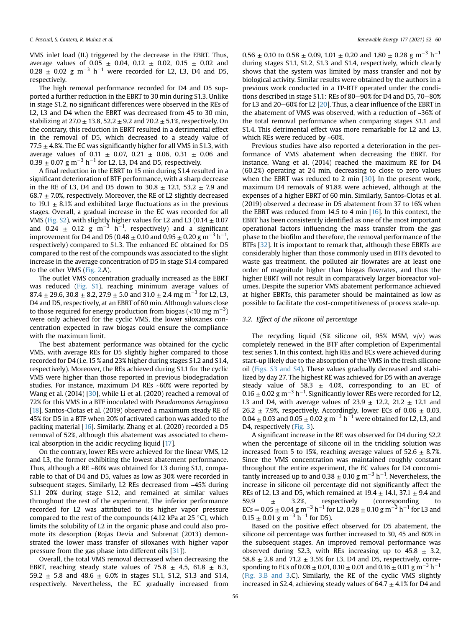VMS inlet load (IL) triggered by the decrease in the EBRT. Thus, average values of 0.05  $\pm$  0.04, 0.12  $\pm$  0.02, 0.15  $\pm$  0.02 and  $0.28 \pm 0.02$  g m<sup>-3</sup> h<sup>-1</sup> were recorded for L2, L3, D4 and D5, respectively.

The high removal performance recorded for D4 and D5 supported a further reduction in the EBRT to 30 min during S1.3. Unlike in stage S1.2, no significant differences were observed in the REs of L2, L3 and D4 when the EBRT was decreased from 45 to 30 min, stabilizing at  $27.0 \pm 13.8$ ,  $52.2 \pm 9.2$  and  $70.2 \pm 5.1$ %, respectively. On the contrary, this reduction in EBRT resulted in a detrimental effect in the removal of D5, which decreased to a steady value of 77.5  $\pm$  4.8%. The EC was significantly higher for all VMS in S1.3, with average values of 0.11  $\pm$  0.07, 0.21  $\pm$  0.06, 0.31  $\pm$  0.06 and  $0.39 \pm 0.07$  g m<sup>-3</sup> h<sup>-1</sup> for L2, L3, D4 and D5, respectively.

A final reduction in the EBRT to 15 min during S1.4 resulted in a significant deterioration of BTF performance, with a sharp decrease in the RE of L3, D4 and D5 down to  $30.8 \pm 12.1$ ,  $53.2 \pm 7.9$  and 68.7  $\pm$  7.0%, respectively. Moreover, the RE of L2 slightly decreased to 19.1  $\pm$  8.1% and exhibited large fluctuations as in the previous stages. Overall, a gradual increase in the EC was recorded for all VMS (Fig.  $S2$ ), with slightly higher values for L2 and L3 (0.14  $\pm$  0.07 and 0.24  $\pm$  0.12 g m<sup>-3</sup> h<sup>-1</sup>, respectively) and a significant improvement for D4 and D5 (0.48  $\pm$  0.10 and 0.95  $\pm$  0.20 g m $^{-3}$  h $^{-1}$ , respectively) compared to S1.3. The enhanced EC obtained for D5 compared to the rest of the compounds was associated to the slight increase in the average concentration of D5 in stage S1.4 compared to the other VMS [\(Fig. 2](#page-3-0).A).

The outlet VMS concentration gradually increased as the EBRT was reduced (Fig. S1), reaching minimum average values of 87.4  $\pm$  29.6, 30.8  $\pm$  8.2, 27.9  $\pm$  5.0 and 31.0  $\pm$  2.4 mg m<sup>-3</sup> for L2, L3, D4 and D5, respectively, at an EBRT of 60 min. Although values close to those required for energy production from biogas (<10 mg m $^{-3})$ were only achieved for the cyclic VMS, the lower siloxanes concentration expected in raw biogas could ensure the compliance with the maximum limit.

The best abatement performance was obtained for the cyclic VMS, with average REs for D5 slightly higher compared to those recorded for D4 (i.e. 15 % and 23% higher during stages S1.2 and S1.4, respectively). Moreover, the REs achieved during S1.1 for the cyclic VMS were higher than those reported in previous biodegradation studies. For instance, maximum D4 REs ~60% were reported by Wang et al. (2014) [\[30\]](#page-8-13), while Li et al. (2020) reached a removal of 72% for this VMS in a BTF inoculated with Pseudomonas Aeruginosa [[18](#page-8-1)]. Santos-Clotas et al. (2019) observed a maximum steady RE of 45% for D5 in a BTF when 20% of activated carbon was added to the packing material [[16\]](#page-7-15). Similarly, Zhang et al. (2020) recorded a D5 removal of 52%, although this abatement was associated to chemical absorption in the acidic recycling liquid [[17](#page-8-0)].

On the contrary, lower REs were achieved for the linear VMS, L2 and L3, the former exhibiting the lowest abatement performance. Thus, although a RE ~80% was obtained for L3 during S1.1, comparable to that of D4 and D5, values as low as 30% were recorded in subsequent stages. Similarly, L2 REs decreased from ~45% during  $S1.1-20%$  during stage S1.2, and remained at similar values throughout the rest of the experiment. The inferior performance recorded for L2 was attributed to its higher vapor pressure compared to the rest of the compounds (4.12 kPa at 25  $\degree$ C), which limits the solubility of L2 in the organic phase and could also promote its desorption (Rojas Devia and Subrenat (2013) demonstrated the lower mass transfer of siloxanes with higher vapor pressure from the gas phase into different oils [\[31](#page-8-14)]).

Overall, the total VMS removal decreased when decreasing the EBRT, reaching steady state values of  $75.8 \pm 4.5$ ,  $61.8 \pm 6.3$ , 59.2  $\pm$  5.8 and 48.6  $\pm$  6.0% in stages S1.1, S1.2, S1.3 and S1.4, respectively. Nevertheless, the EC gradually increased from  $0.56 \pm 0.10$  to  $0.58 \pm 0.09$ ,  $1.01 \pm 0.20$  and  $1.80 \pm 0.28$  g m<sup>-3</sup> h<sup>-1</sup> during stages S1.1, S1.2, S1.3 and S1.4, respectively, which clearly shows that the system was limited by mass transfer and not by biological activity. Similar results were obtained by the authors in a previous work conducted in a TP-BTF operated under the conditions described in stage S1.1: REs of 80 $-90\%$  for D4 and D5, 70 $-80\%$ for L3 and  $20-60\%$  for L2 [ $20$ ]. Thus, a clear influence of the EBRT in the abatement of VMS was observed, with a reduction of ~36% of the total removal performance when comparing stages S1.1 and S1.4. This detrimental effect was more remarkable for L2 and L3, which REs were reduced by ~60%.

Previous studies have also reported a deterioration in the performance of VMS abatement when decreasing the EBRT. For instance, Wang et al. (2014) reached the maximum RE for D4 (60.2%) operating at 24 min, decreasing to close to zero values when the EBRT was reduced to 2 min [[30](#page-8-13)]. In the present work, maximum D4 removals of 91.8% were achieved, although at the expenses of a higher EBRT of 60 min. Similarly, Santos-Clotas et al. (2019) observed a decrease in D5 abatement from 37 to 16% when the EBRT was reduced from 14.5 to 4 min [[16\]](#page-7-15). In this context, the EBRT has been consistently identified as one of the most important operational factors influencing the mass transfer from the gas phase to the biofilm and therefore, the removal performance of the BTFs [\[32\]](#page-8-15). It is important to remark that, although these EBRTs are considerably higher than those commonly used in BTFs devoted to waste gas treatment, the polluted air flowrates are at least one order of magnitude higher than biogas flowrates, and thus the higher EBRT will not result in comparatively larger bioreactor volumes. Despite the superior VMS abatement performance achieved at higher EBRTs, this parameter should be maintained as low as possible to facilitate the cost-competitiveness of process scale-up.

## 3.2. Effect of the silicone oil percentage

The recycling liquid (5% silicone oil, 95% MSM, v/v) was completely renewed in the BTF after completion of Experimental test series 1. In this context, high REs and ECs were achieved during start-up likely due to the absorption of the VMS in the fresh silicone oil (Figs. S3 and S4). These values gradually decreased and stabilized by day 27. The highest RE was achieved for D5 with an average steady value of 58.3  $\pm$  4.0%, corresponding to an EC of  $0.16 \pm 0.02$  g m<sup>-3</sup> h<sup>-1</sup>. Significantly lower REs were recorded for L2, L3 and D4, with average values of  $23.9 \pm 12.2$ ,  $21.2 \pm 12.1$  and 26.2  $\pm$  7.9%, respectively. Accordingly, lower ECs of 0.06  $\pm$  0.03,  $0.04 \pm 0.03$  and  $0.05 \pm 0.02$  g m<sup>-3</sup> h<sup>-1</sup> were obtained for L2, L3, and D4, respectively [\(Fig. 3](#page-5-0)).

A significant increase in the RE was observed for D4 during S2.2 when the percentage of silicone oil in the trickling solution was increased from 5 to 15%, reaching average values of  $52.6 \pm 8.7$ %. Since the VMS concentration was maintained roughly constant throughout the entire experiment, the EC values for D4 concomitantly increased up to and 0.38  $\pm$  0.10 g m<sup>-3</sup> h<sup>-1</sup>. Nevertheless, the increase in silicone oil percentage did not significantly affect the REs of L2, L3 and D5, which remained at  $19.4 \pm 14.1$ , 37.1  $\pm$  9.4 and 59.9  $\pm$  3.2%, respectively (corresponding to  $ECs = 0.05 \pm 0.04$  g m<sup>-3</sup> h<sup>-1</sup> for L2, 0.28  $\pm$  0.10 g m<sup>-3</sup> h<sup>-1</sup> for L3 and  $0.15 \pm 0.01$  g m<sup>-3</sup> h<sup>-1</sup> for D5).

Based on the positive effect observed for D5 abatement, the silicone oil percentage was further increased to 30, 45 and 60% in the subsequent stages. An improved removal performance was observed during S2.3, with REs increasing up to  $45.8 \pm 3.2$ , 58.8  $\pm$  2.8 and 71.2  $\pm$  3.5% for L3, D4 and D5, respectively, corresponding to ECs of 0.08  $\pm$  0.01, 0.10  $\pm$  0.01 and 0.16  $\pm$  0.01 g m<sup>-3</sup> h<sup>-1</sup> ([Fig. 3.B and 3.](#page-5-0)C). Similarly, the RE of the cyclic VMS slightly increased in S2.4, achieving steady values of  $64.7 \pm 4.1\%$  for D4 and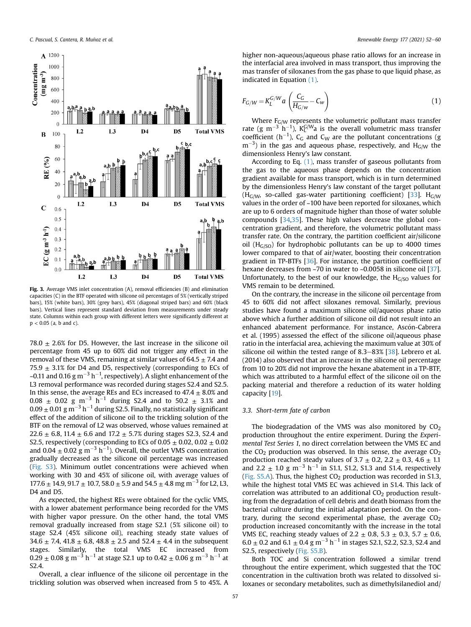<span id="page-5-0"></span>

Fig. 3. Average VMS inlet concentration (A), removal efficiencies (B) and elimination capacities (C) in the BTF operated with silicone oil percentages of 5% (vertically striped bars), 15% (white bars), 30% (grey bars), 45% (diagonal striped bars) and 60% (black bars). Vertical lines represent standard deviation from measurements under steady state. Columns within each group with different letters were significantly different at p < 0.05 (a, b and c).

78.0  $\pm$  2.6% for D5. However, the last increase in the silicone oil percentage from 45 up to 60% did not trigger any effect in the removal of these VMS, remaining at similar values of  $64.5 \pm 7.4$  and 75.9  $\pm$  3.1% for D4 and D5, respectively (corresponding to ECs of ~0.11 and 0.16 g m $^{-3}$  h $^{-1}$ , respectively). A slight enhancement of the L3 removal performance was recorded during stages S2.4 and S2.5. In this sense, the average REs and ECs increased to  $47.4 \pm 8.0\%$  and  $0.08 \pm 0.02$  g m $^{-3}$  h $^{-1}$  during S2.4 and to 50.2  $\pm$  3.1% and  $0.09\pm0.01$  g m $^{-3}$  h $^{-1}$  during S2.5. Finally, no statistically significant effect of the addition of silicone oil to the trickling solution of the BTF on the removal of L2 was observed, whose values remained at 22.6  $\pm$  6.8, 11.4  $\pm$  6.6 and 17.2  $\pm$  5.7% during stages S2.3, S2.4 and S2.5, respectively (corresponding to ECs of 0.05  $\pm$  0.02, 0.02  $\pm$  0.02 and 0.04  $\pm$  0.02 g m $^{-3}$  h $^{-1}$ ). Overall, the outlet VMS concentration gradually decreased as the silicone oil percentage was increased (Fig. S3). Minimum outlet concentrations were achieved when working with 30 and 45% of silicone oil, with average values of  $177.6 \pm 14.9, 91.7 \pm 10.7, 58.0 \pm 5.9$  and  $54.5 \pm 4.8$  mg m<sup>-3</sup> for L2, L3, D<sub>4</sub> and D<sub>5</sub>.

As expected, the highest REs were obtained for the cyclic VMS, with a lower abatement performance being recorded for the VMS with higher vapor pressure. On the other hand, the total VMS removal gradually increased from stage S2.1 (5% silicone oil) to stage S2.4 (45% silicone oil), reaching steady state values of 34.6  $\pm$  7.4, 41.8  $\pm$  6.8, 48.8  $\pm$  2.5 and 52.4  $\pm$  4.4 in the subsequent stages. Similarly, the total VMS EC increased from  $0.29 \pm 0.08$  g m<sup>-3</sup> h<sup>-1</sup> at stage S2.1 up to  $0.42 \pm 0.06$  g m<sup>-3</sup> h<sup>-1</sup> at S2.4.

Overall, a clear influence of the silicone oil percentage in the trickling solution was observed when increased from 5 to 45%. A higher non-aqueous/aqueous phase ratio allows for an increase in the interfacial area involved in mass transport, thus improving the mas transfer of siloxanes from the gas phase to que liquid phase, as indicated in Equation [\(1\).](#page-5-1)

<span id="page-5-1"></span>
$$
F_{G/W} = K_L^{G/W} a \left( \frac{C_G}{H_{G/w}} - C_W \right)
$$
 (1)

Where  $F<sub>G/W</sub>$  represents the volumetric pollutant mass transfer rate (g m<sup>-3</sup> h<sup>-1</sup>),  $K_1^{G/W}$ a is the overall volumetric mass transfer coefficient  $(h^{-1})$ , C<sub>G</sub> and C<sub>W</sub> are the pollutant concentrations (g  $\rm m^{-3}$ ) in the gas and aqueous phase, respectively, and  $\rm H_{G/W}$  the dimensionless Henry's law constant.

According to Eq. [\(1\)](#page-5-1), mass transfer of gaseous pollutants from the gas to the aqueous phase depends on the concentration gradient available for mass transport, which is in turn determined by the dimensionless Henry's law constant of the target pollutant  $(H_G/W,$  so-called gas-water partitioning coefficient) [[33](#page-8-16)].  $H_G/W$ values in the order of ~100 have been reported for siloxanes, which are up to 6 orders of magnitude higher than those of water soluble compounds [[34](#page-8-17),[35](#page-8-18)]. These high values decrease the global concentration gradient, and therefore, the volumetric pollutant mass transfer rate. On the contrary, the partition coefficient air/silicone oil ( $H<sub>G/SO</sub>$ ) for hydrophobic pollutants can be up to 4000 times lower compared to that of air/water, boosting their concentration gradient in TP-BTFs [\[36\]](#page-8-19). For instance, the partition coefficient of hexane decreases from ~70 in water to ~0.0058 in silicone oil [[37\]](#page-8-20). Unfortunately, to the best of our knowledge, the  $H<sub>G/SO</sub>$  values for VMS remain to be determined.

On the contrary, the increase in the silicone oil percentage from 45 to 60% did not affect siloxanes removal. Similarly, previous studies have found a maximum silicone oil/aqueous phase ratio above which a further addition of silicone oil did not result into an enhanced abatement performance. For instance, Ascón-Cabrera et al. (1995) assessed the effect of the silicone oil/aqueous phase ratio in the interfacial area, achieving the maximum value at 30% of silicone oil within the tested range of 8.3-83% [[38](#page-8-21)]. Lebrero et al. (2014) also observed that an increase in the silicone oil percentage from 10 to 20% did not improve the hexane abatement in a TP-BTF, which was attributed to a harmful effect of the silicone oil on the packing material and therefore a reduction of its water holding capacity [\[19](#page-8-2)].

# 3.3. Short-term fate of carbon

The biodegradation of the VMS was also monitored by  $CO<sub>2</sub>$ production throughout the entire experiment. During the Experimental Test Series 1, no direct correlation between the VMS EC and the  $CO<sub>2</sub>$  production was observed. In this sense, the average  $CO<sub>2</sub>$ production reached steady values of  $3.7 \pm 0.2$ ,  $2.2 \pm 0.3$ ,  $4.6 \pm 1.1$ and 2.2  $\pm$  1.0 g m<sup>-3</sup> h<sup>-1</sup> in S1.1, S1.2, S1.3 and S1.4, respectively (Fig. S5.A). Thus, the highest  $CO<sub>2</sub>$  production was recorded in S1.3, while the highest total VMS EC was achieved in S1.4. This lack of correlation was attributed to an additional  $CO<sub>2</sub>$  production resulting from the degradation of cell debris and death biomass from the bacterial culture during the initial adaptation period. On the contrary, during the second experimental phase, the average  $CO<sub>2</sub>$ production increased concomitantly with the increase in the total VMS EC, reaching steady values of 2.2  $\pm$  0.8, 5.3  $\pm$  0.3, 5.7  $\pm$  0.6,  $6.0 \pm 0.2$  and  $6.1 \pm 0.4$  g m<sup>-3</sup> h<sup>-1</sup> in stages S2.1, S2.2, S2.3, S2.4 and S2.5, respectively (Fig. S5.B).

Both TOC and Si concentration followed a similar trend throughout the entire experiment, which suggested that the TOC concentration in the cultivation broth was related to dissolved siloxanes or secondary metabolites, such as dimethylsilanediol and/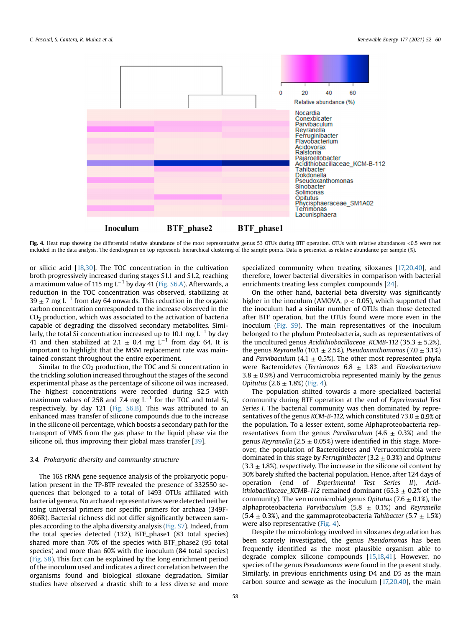<span id="page-6-0"></span>

Fig. 4. Heat map showing the differential relative abundance of the most representative genus 53 OTUs during BTF operation. OTUs with relative abundances <0.5 were not included in the data analysis. The dendrogram on top represents hierarchical clustering of the sample points. Data is presented as relative abundance per sample (%).

or silicic acid [\[18](#page-8-1)[,30\]](#page-8-13). The TOC concentration in the cultivation broth progressively increased during stages S1.1 and S1.2, reaching a maximum value of 115 mg  $L^{-1}$  by day 41 (Fig. S6.A). Afterwards, a reduction in the TOC concentration was observed, stabilizing at 39  $\pm$  7 mg L<sup>-1</sup> from day 64 onwards. This reduction in the organic carbon concentration corresponded to the increase observed in the  $CO<sub>2</sub>$  production, which was associated to the activation of bacteria capable of degrading the dissolved secondary metabolites. Similarly, the total Si concentration increased up to 10.1 mg  $L^{-1}$  by day 41 and then stabilized at 2.1  $\pm$  0.4 mg L<sup>-1</sup> from day 64. It is important to highlight that the MSM replacement rate was maintained constant throughout the entire experiment.

Similar to the  $CO<sub>2</sub>$  production, the TOC and Si concentration in the trickling solution increased throughout the stages of the second experimental phase as the percentage of silicone oil was increased. The highest concentrations were recorded during S2.5 with maximum values of 258 and 7.4 mg  $L^{-1}$  for the TOC and total Si, respectively, by day 121 (Fig. S6.B). This was attributed to an enhanced mass transfer of silicone compounds due to the increase in the silicone oil percentage, which boosts a secondary path for the transport of VMS from the gas phase to the liquid phase via the silicone oil, thus improving their global mass transfer [[39](#page-8-22)].

# 3.4. Prokaryotic diversity and community structure

The 16S rRNA gene sequence analysis of the prokaryotic population present in the TP-BTF revealed the presence of 332550 sequences that belonged to a total of 1493 OTUs affiliated with bacterial genera. No archaeal representatives were detected neither using universal primers nor specific primers for archaea (349F-806R). Bacterial richness did not differ significantly between samples according to the alpha diversity analysis (Fig. S7). Indeed, from the total species detected (132), BTF\_phase1 (83 total species) shared more than 70% of the species with BTF\_phase2 (95 total species) and more than 60% with the inoculum (84 total species) (Fig. S8). This fact can be explained by the long enrichment period of the inoculum used and indicates a direct correlation between the organisms found and biological siloxane degradation. Similar studies have observed a drastic shift to a less diverse and more specialized community when treating siloxanes [\[17,](#page-8-0)[20,](#page-8-3)[40](#page-8-23)], and therefore, lower bacterial diversities in comparison with bacterial enrichments treating less complex compounds [\[24\]](#page-8-9).

On the other hand, bacterial beta diversity was significantly higher in the inoculum (AMOVA,  $p < 0.05$ ), which supported that the inoculum had a similar number of OTUs than those detected after BTF operation, but the OTUs found were more even in the inoculum (Fig. S9). The main representatives of the inoculum belonged to the phylum Proteobacteria, such as representatives of the uncultured genus Acidithiobacillaceae\_KCMB-112 (35.3  $\pm$  5.2%), the genus Reyranella (10.1  $\pm$  2.5%), Pseudoxanthomonas (7.0  $\pm$  3.1%) and Parvibaculum (4.1  $\pm$  0.5%). The other most represented phyla were Bacteroidetes (Terrimonas  $6.8 \pm 1.8\%$  and Flavobacterium  $3.8 \pm 0.9$ %) and Verrucomicrobia represented mainly by the genus Opitutus  $(2.6 \pm 1.8\%)$  [\(Fig. 4\)](#page-6-0).

The population shifted towards a more specialized bacterial community during BTF operation at the end of Experimental Test Series I. The bacterial community was then dominated by representatives of the genus KCM-B-112, which constituted  $73.0 \pm 0.9\%$  of the population. To a lesser extent, some Alphaproteobacteria representatives from the genus Parvibaculum (4.6  $\pm$  0.3%) and the genus Reyranella (2.5  $\pm$  0.05%) were identified in this stage. Moreover, the population of Bacteroidetes and Verrucomicrobia were dominated in this stage by Ferruginibacter (3.2  $\pm$  0.3%) and Opitutus  $(3.3 \pm 1.8\%)$ , respectively. The increase in the silicone oil content by 30% barely shifted the bacterial population. Hence, after 124 days of operation (end of Experimental Test Series II), Acidithiobacillaceae\_KCMB-112 remained dominant (65.3  $\pm$  0.2% of the community). The verrucomicrobial genus Opitutus (7.6  $\pm$  0.1%), the alphaproteobacteria Parvibaculum (5.8  $\pm$  0.1%) and Reyranella  $(5.4 \pm 0.3%)$ , and the gammaproteobacteria Tahibacter  $(5.7 \pm 1.5%)$ were also representative [\(Fig. 4](#page-6-0)).

Despite the microbiology involved in siloxanes degradation has been scarcely investigated, the genus Pseudomonas has been frequently identified as the most plausible organism able to degrade complex silicone compounds [[15,](#page-7-14)[18,](#page-8-1)[41\]](#page-8-24). However, no species of the genus Pseudomonas were found in the present study. Similarly, in previous enrichments using D4 and D5 as the main carbon source and sewage as the inoculum [\[17,](#page-8-0)[20,](#page-8-3)[40](#page-8-23)], the main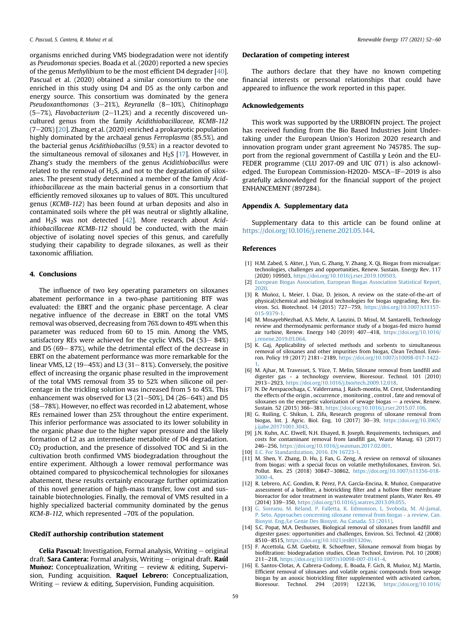organisms enriched during VMS biodegradation were not identify as Pseudomonas species. Boada et al. (2020) reported a new species of the genus Methylibium to be the most efficient D4 degrader [\[40\]](#page-8-23). Pascual et al. (2020) obtained a similar consortium to the one enriched in this study using D4 and D5 as the only carbon and energy source. This consortium was dominated by the genera Pseudoxanthomonas  $(3-21%)$ , Reyranella  $(8-10%)$ , Chitinophaga (5-7%), Flavobacterium (2-11.2%) and a recently discovered uncultured genus from the family Acidithiobacillaceae, KCMB-112  $(7-20%)$  $(7-20%)$  $(7-20%)$  [20]. Zhang et al. (2020) enriched a prokaryotic population highly dominated by the archaeal genus Ferroplasma (85.5%), and the bacterial genus Acidithiobacillus (9.5%) in a reactor devoted to the simultaneous removal of siloxanes and  $H_2S$  [\[17\]](#page-8-0). However, in Zhang's study the members of the genus Acidithiobacillus were related to the removal of  $H_2S$ , and not to the degradation of siloxanes. The present study determined a member of the family Acidithiobacillaceae as the main bacterial genus in a consortium that efficiently removed siloxanes up to values of 80%. This uncultured genus (KCMB-112) has been found at urban deposits and also in contaminated soils where the pH was neutral or slightly alkaline, and H2S was not detected [\[42\]](#page-8-25). More research about Acidithiobacillaceae KCMB-112 should be conducted, with the main objective of isolating novel species of this genus, and carefully studying their capability to degrade siloxanes, as well as their taxonomic affiliation.

## 4. Conclusions

The influence of two key operating parameters on siloxanes abatement performance in a two-phase partitioning BTF was evaluated: the EBRT and the organic phase percentage. A clear negative influence of the decrease in EBRT on the total VMS removal was observed, decreasing from 76% down to 49% when this parameter was reduced from 60 to 15 min. Among the VMS, satisfactory REs were achieved for the cyclic VMS,  $D4$  (53–84%) and D5  $(69 - 87%)$ , while the detrimental effect of the decrease in EBRT on the abatement performance was more remarkable for the linear VMS, L2 (19 $-45\%$ ) and L3 (31 $-81\%$ ). Conversely, the positive effect of increasing the organic phase resulted in the improvement of the total VMS removal from 35 to 52% when silicone oil percentage in the trickling solution was increased from 5 to 45%. This enhancement was observed for L3  $(21–50\%)$ , D4  $(26–64\%)$  and D5  $(58-78%)$ . However, no effect was recorded in L2 abatement, whose REs remained lower than 25% throughout the entire experiment. This inferior performance was associated to its lower solubility in the organic phase due to the higher vapor pressure and the likely formation of L2 as an intermediate metabolite of D4 degradation.  $CO<sub>2</sub>$  production, and the presence of dissolved TOC and Si in the cultivation broth confirmed VMS biodegradation throughout the entire experiment. Although a lower removal performance was obtained compared to physicochemical technologies for siloxanes abatement, these results certainly encourage further optimization of this novel generation of high-mass transfer, low cost and sustainable biotechnologies. Finally, the removal of VMS resulted in a highly specialized bacterial community dominated by the genus KCM-B-112, which represented ~70% of the population.

## CRediT authorship contribution statement

**Celia Pascual:** Investigation, Formal analysis, Writing  $-$  original draft. Sara Cantera: Formal analysis, Writing  $-$  original draft. Raúl **Muñoz:** Conceptualization, Writing – review & editing, Supervision, Funding acquisition. Raquel Lebrero: Conceptualization, Writing  $-$  review & editing, Supervision, Funding acquisition.

## Declaration of competing interest

The authors declare that they have no known competing financial interests or personal relationships that could have appeared to influence the work reported in this paper.

# Acknowledgements

This work was supported by the URBIOFIN project. The project has received funding from the Bio Based Industries Joint Undertaking under the European Union's Horizon 2020 research and innovation program under grant agreement No 745785. The support from the regional government of Castilla y León and the EU-FEDER programme (CLU 2017-09 and UIC 071) is also acknowledged. The European Commission-H2020- MSCA-IF-2019 is also gratefully acknowledged for the financial support of the project ENHANCEMENT (897284).

## Appendix A. Supplementary data

Supplementary data to this article can be found online at [https://doi.org/10.1016/j.renene.2021.05.144.](https://doi.org/10.1016/j.renene.2021.05.144)

## References

- <span id="page-7-0"></span>[1] H.M. Zabed, S. Akter, J. Yun, G. Zhang, Y. Zhang, X. Qi, Biogas from microalgae: technologies, challenges and opportunities, Renew. Sustain. Energy Rev. 117 (2020) 109503, [https://doi.org/10.1016/j.rser.2019.109503.](https://doi.org/10.1016/j.rser.2019.109503)
- <span id="page-7-1"></span>[2] [European Biogas Association, European Biogas Association Statistical Report,](http://refhub.elsevier.com/S0960-1481(21)00827-2/sref2) [2020.](http://refhub.elsevier.com/S0960-1481(21)00827-2/sref2)
- <span id="page-7-2"></span>[3] R. Muñoz, L. Meier, I. Diaz, D. Jeison, A review on the state-of-the-art of physical/chemical and biological technologies for biogas upgrading, Rev. Environ. Sci. Biotechnol. 14 (2015) 727-759, [https://doi.org/10.1007/s11157-](https://doi.org/10.1007/s11157-015-9379-1) [015-9379-1](https://doi.org/10.1007/s11157-015-9379-1).
- <span id="page-7-3"></span>[4] M. MosayebNezhad, A.S. Mehr, A. Lanzini, D. Misul, M. Santarelli, Technology review and thermodynamic performance study of a biogas-fed micro humid air turbine, Renew. Energy 140 (2019) 407-418, [https://doi.org/10.1016/](https://doi.org/10.1016/j.renene.2019.03.064) [j.renene.2019.03.064.](https://doi.org/10.1016/j.renene.2019.03.064)
- <span id="page-7-4"></span>[5] K. Gaj, Applicability of selected methods and sorbents to simultaneous removal of siloxanes and other impurities from biogas, Clean Technol. Environ. Policy 19 (2017) 2181-2189, [https://doi.org/10.1007/s10098-017-1422-](https://doi.org/10.1007/s10098-017-1422-1) [1](https://doi.org/10.1007/s10098-017-1422-1).
- <span id="page-7-5"></span>[6] M. Ajhar, M. Travesset, S. Yüce, T. Melin, Siloxane removal from landfill and digester gas - a technology overview, Bioresour. Technol. 101 (2010)<br>2913–2923, <https://doi.org/10.1016/j.biortech.2009.12.018>.
- <span id="page-7-6"></span>[7] N. De Arespacochaga, C. Valderrama, J. Raich-montiu, M. Crest, Understanding the effects of the origin , occurrence , monitoring , control , fate and removal of siloxanes on the energetic valorization of sewage biogas  $-$  a review, Renew. Sustain. 52 (2015) 366-381, <https://doi.org/10.1016/j.rser.2015.07.106>.
- <span id="page-7-7"></span>[8] G. Ruiling, C. Shikun, L. Zifu, Research progress of siloxane removal from biogas, Int. J. Agric. Biol. Eng. 10 (2017) 30-39, [https://doi.org/10.3965/](https://doi.org/10.3965/j.ijabe.20171001.3043) ijabe.20171001.3043.
- <span id="page-7-8"></span>[9] J.N. Kuhn, A.C. Elwell, N.H. Elsayed, B. Joseph, Requirements, techniques, and costs for contaminant removal from landfill gas, Waste Manag. 63 (2017) 246-256, <https://doi.org/10.1016/j.wasman.2017.02.001>.
- <span id="page-7-10"></span><span id="page-7-9"></span>[E.C. For Standardization, 2016. EN 16723-1](http://refhub.elsevier.com/S0960-1481(21)00827-2/sref10).
- [11] M. Shen, Y. Zhang, D. Hu, J. Fan, G. Zeng, A review on removal of siloxanes from biogas: with a special focus on volatile methylsiloxanes, Environ. Sci. Pollut. Res. 25 (2018) 30847-30862, [https://doi.org/10.1007/s11356-018-](https://doi.org/10.1007/s11356-018-3000-4) [3000-4.](https://doi.org/10.1007/s11356-018-3000-4)
- <span id="page-7-11"></span>[12] R. Lebrero, A.C. Gondim, R. Pérez, P.A. García-Encina, R. Muñoz, Comparative assessment of a biofilter, a biotrickling filter and a hollow fiber membrane bioreactor for odor treatment in wastewater treatment plants, Water Res. 49 (2014) 339-350, [https://doi.org/10.1016/j.watres.2013.09.055.](https://doi.org/10.1016/j.watres.2013.09.055)
- <span id="page-7-12"></span>[13] G. Soreanu, M. Béland, P. Falletta, K. Edmonson, L. Svoboda, M. Al-Jamal, [P. Seto, Approaches concerning siloxane removal from biogas - a review, Can.](http://refhub.elsevier.com/S0960-1481(21)00827-2/sref13) [Biosyst. Eng./Le Genie Des Biosyst. Au Canada. 53 \(2011\)](http://refhub.elsevier.com/S0960-1481(21)00827-2/sref13).
- <span id="page-7-13"></span>[14] S.C. Popat, M.A. Deshusses, Biological removal of siloxanes from landfill and digester gases: opportunities and challenges, Environ. Sci. Technol. 42 (2008) 8510-8515, <https://doi.org/10.1021/es801320w>.
- <span id="page-7-14"></span>[15] F. Accettola, G.M. Guebitz, R. Schoeftner, Siloxane removal from biogas by biofiltration: biodegradation studies, Clean Technol, Environ. Pol. 10 (2008) 211-218, <https://doi.org/10.1007/s10098-007-0141-4>
- <span id="page-7-15"></span>[16] E. Santos-Clotas, A. Cabrera-Codony, E. Boada, F. Gich, R. Muñoz, M.J. Martín, Efficient removal of siloxanes and volatile organic compounds from sewage biogas by an anoxic biotrickling filter supplemented with activated carbon, Bioresour. Technol. 294 (2019) 122136, [https://doi.org/10.1016/](https://doi.org/10.1016/j.biortech.2019.122136)